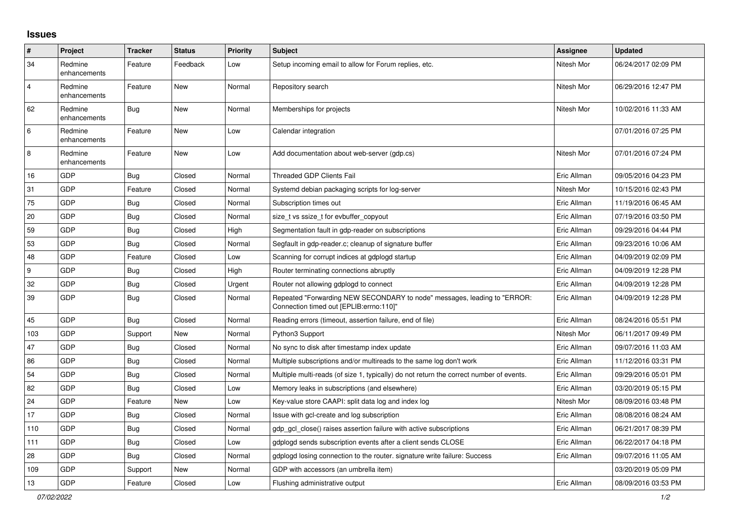## **Issues**

| $\vert$ #      | Project                 | <b>Tracker</b> | <b>Status</b> | <b>Priority</b> | <b>Subject</b>                                                                                                      | <b>Assignee</b> | <b>Updated</b>      |
|----------------|-------------------------|----------------|---------------|-----------------|---------------------------------------------------------------------------------------------------------------------|-----------------|---------------------|
| 34             | Redmine<br>enhancements | Feature        | Feedback      | Low             | Setup incoming email to allow for Forum replies, etc.                                                               | Nitesh Mor      | 06/24/2017 02:09 PM |
| $\overline{4}$ | Redmine<br>enhancements | Feature        | New           | Normal          | Repository search                                                                                                   | Nitesh Mor      | 06/29/2016 12:47 PM |
| 62             | Redmine<br>enhancements | <b>Bug</b>     | <b>New</b>    | Normal          | Memberships for projects                                                                                            | Nitesh Mor      | 10/02/2016 11:33 AM |
| 6              | Redmine<br>enhancements | Feature        | New           | Low             | Calendar integration                                                                                                |                 | 07/01/2016 07:25 PM |
| $\,8\,$        | Redmine<br>enhancements | Feature        | New           | Low             | Add documentation about web-server (gdp.cs)                                                                         | Nitesh Mor      | 07/01/2016 07:24 PM |
| 16             | GDP                     | Bug            | Closed        | Normal          | <b>Threaded GDP Clients Fail</b>                                                                                    | Eric Allman     | 09/05/2016 04:23 PM |
| 31             | GDP                     | Feature        | Closed        | Normal          | Systemd debian packaging scripts for log-server                                                                     | Nitesh Mor      | 10/15/2016 02:43 PM |
| 75             | GDP                     | <b>Bug</b>     | Closed        | Normal          | Subscription times out                                                                                              | Eric Allman     | 11/19/2016 06:45 AM |
| 20             | GDP                     | <b>Bug</b>     | Closed        | Normal          | size_t vs ssize_t for evbuffer_copyout                                                                              | Eric Allman     | 07/19/2016 03:50 PM |
| 59             | <b>GDP</b>              | Bug            | Closed        | High            | Segmentation fault in gdp-reader on subscriptions                                                                   | Eric Allman     | 09/29/2016 04:44 PM |
| 53             | GDP                     | <b>Bug</b>     | Closed        | Normal          | Segfault in gdp-reader.c; cleanup of signature buffer                                                               | Eric Allman     | 09/23/2016 10:06 AM |
| 48             | GDP                     | Feature        | Closed        | Low             | Scanning for corrupt indices at gdplogd startup                                                                     | Eric Allman     | 04/09/2019 02:09 PM |
| 9              | GDP                     | <b>Bug</b>     | Closed        | High            | Router terminating connections abruptly                                                                             | Eric Allman     | 04/09/2019 12:28 PM |
| 32             | GDP                     | <b>Bug</b>     | Closed        | Urgent          | Router not allowing gdplogd to connect                                                                              | Eric Allman     | 04/09/2019 12:28 PM |
| 39             | GDP                     | Bug            | Closed        | Normal          | Repeated "Forwarding NEW SECONDARY to node" messages, leading to "ERROR:<br>Connection timed out [EPLIB:errno:110]" | Eric Allman     | 04/09/2019 12:28 PM |
| 45             | GDP                     | Bug            | Closed        | Normal          | Reading errors (timeout, assertion failure, end of file)                                                            | Eric Allman     | 08/24/2016 05:51 PM |
| 103            | GDP                     | Support        | New           | Normal          | Python3 Support                                                                                                     | Nitesh Mor      | 06/11/2017 09:49 PM |
| 47             | GDP                     | <b>Bug</b>     | Closed        | Normal          | No sync to disk after timestamp index update                                                                        | Eric Allman     | 09/07/2016 11:03 AM |
| 86             | GDP                     | <b>Bug</b>     | Closed        | Normal          | Multiple subscriptions and/or multireads to the same log don't work                                                 | Eric Allman     | 11/12/2016 03:31 PM |
| 54             | GDP                     | <b>Bug</b>     | Closed        | Normal          | Multiple multi-reads (of size 1, typically) do not return the correct number of events.                             | Eric Allman     | 09/29/2016 05:01 PM |
| 82             | GDP                     | Bug            | Closed        | Low             | Memory leaks in subscriptions (and elsewhere)                                                                       | Eric Allman     | 03/20/2019 05:15 PM |
| 24             | GDP                     | Feature        | New           | Low             | Key-value store CAAPI: split data log and index log                                                                 | Nitesh Mor      | 08/09/2016 03:48 PM |
| 17             | GDP                     | Bug            | Closed        | Normal          | Issue with gcl-create and log subscription                                                                          | Eric Allman     | 08/08/2016 08:24 AM |
| 110            | GDP                     | <b>Bug</b>     | Closed        | Normal          | gdp gcl close() raises assertion failure with active subscriptions                                                  | Eric Allman     | 06/21/2017 08:39 PM |
| 111            | GDP                     | <b>Bug</b>     | Closed        | Low             | gdplogd sends subscription events after a client sends CLOSE                                                        | Eric Allman     | 06/22/2017 04:18 PM |
| 28             | GDP                     | <b>Bug</b>     | Closed        | Normal          | gdplogd losing connection to the router. signature write failure: Success                                           | Eric Allman     | 09/07/2016 11:05 AM |
| 109            | GDP                     | Support        | New           | Normal          | GDP with accessors (an umbrella item)                                                                               |                 | 03/20/2019 05:09 PM |
| 13             | GDP                     | Feature        | Closed        | Low             | Flushing administrative output                                                                                      | Eric Allman     | 08/09/2016 03:53 PM |